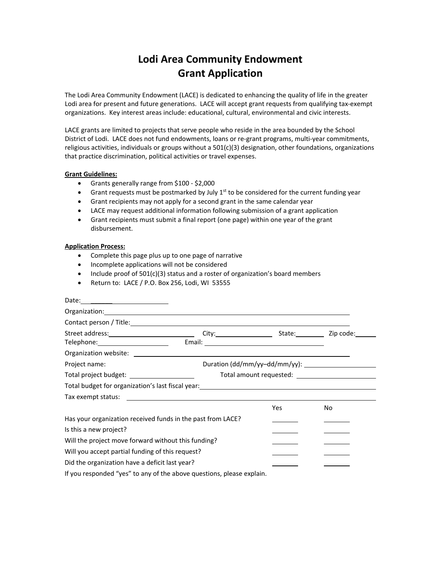## **Lodi Area Community Endowment Grant Application**

The Lodi Area Community Endowment (LACE) is dedicated to enhancing the quality of life in the greater Lodi area for present and future generations. LACE will accept grant requests from qualifying tax‐exempt organizations. Key interest areas include: educational, cultural, environmental and civic interests.

LACE grants are limited to projects that serve people who reside in the area bounded by the School District of Lodi. LACE does not fund endowments, loans or re-grant programs, multi-year commitments, religious activities, individuals or groups without a 501(c)(3) designation, other foundations, organizations that practice discrimination, political activities or travel expenses.

## **Grant Guidelines:**

- Grants generally range from \$100 ‐ \$2,000
- Grant requests must be postmarked by July  $1<sup>st</sup>$  to be considered for the current funding year
- Grant recipients may not apply for a second grant in the same calendar year
- LACE may request additional information following submission of a grant application
- Grant recipients must submit a final report (one page) within one year of the grant disbursement.

## **Application Process:**

- Complete this page plus up to one page of narrative
- Incomplete applications will not be considered
- Include proof of 501(c)(3) status and a roster of organization's board members
- Return to: LACE / P.O. Box 256, Lodi, WI 53555

| Organization: contract to the contract of the contract of the contract of the contract of the contract of the contract of the contract of the contract of the contract of the contract of the contract of the contract of the |  |     |     |
|-------------------------------------------------------------------------------------------------------------------------------------------------------------------------------------------------------------------------------|--|-----|-----|
|                                                                                                                                                                                                                               |  |     |     |
|                                                                                                                                                                                                                               |  |     |     |
| Telephone: <u>Contract Communication</u> Email: Communication Communication Communication Communication Communication                                                                                                         |  |     |     |
|                                                                                                                                                                                                                               |  |     |     |
| Project name:                                                                                                                                                                                                                 |  |     |     |
| Total project budget: ________________________                                                                                                                                                                                |  |     |     |
| Total budget for organization's last fiscal year: The Community of the Community of the Community of The Commun                                                                                                               |  |     |     |
|                                                                                                                                                                                                                               |  |     |     |
|                                                                                                                                                                                                                               |  | Yes | No. |
| Has your organization received funds in the past from LACE?                                                                                                                                                                   |  |     |     |
| Is this a new project?                                                                                                                                                                                                        |  |     |     |
| Will the project move forward without this funding?                                                                                                                                                                           |  |     |     |
| Will you accept partial funding of this request?                                                                                                                                                                              |  |     |     |
| Did the organization have a deficit last year?                                                                                                                                                                                |  |     |     |
| If you responded "yes" to any of the above questions, please explain.                                                                                                                                                         |  |     |     |